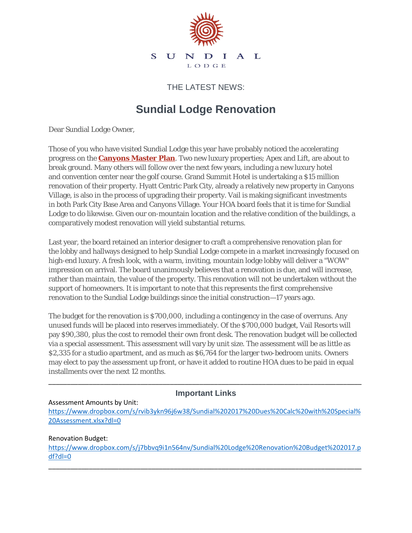

THE LATEST NEWS:

# **Sundial Lodge Renovation**

Dear Sundial Lodge Owner,

Those of you who have visited Sundial Lodge this year have probably noticed the accelerating progress on the **[Canyons Master Plan](http://email.asrlodging.net/t/r-i-yuyhdyz-huutmttx-y/)**. Two new luxury properties; Apex and Lift, are about to break ground. Many others will follow over the next few years, including a new luxury hotel and convention center near the golf course. Grand Summit Hotel is undertaking a \$15 million renovation of their property. Hyatt Centric Park City, already a relatively new property in Canyons Village, is also in the process of upgrading their property. Vail is making significant investments in both Park City Base Area and Canyons Village. Your HOA board feels that it is time for Sundial Lodge to do likewise. Given our on-mountain location and the relative condition of the buildings, a comparatively modest renovation will yield substantial returns.

Last year, the board retained an interior designer to craft a comprehensive renovation plan for the lobby and hallways designed to help Sundial Lodge compete in a market increasingly focused on high-end luxury. A fresh look, with a warm, inviting, mountain lodge lobby will deliver a "WOW" impression on arrival. The board unanimously believes that a renovation is due, and will increase, rather than maintain, the value of the property. This renovation will not be undertaken without the support of homeowners. It is important to note that this represents the first comprehensive renovation to the Sundial Lodge buildings since the initial construction—17 years ago.

The budget for the renovation is \$700,000, including a contingency in the case of overruns. Any unused funds will be placed into reserves immediately. Of the \$700,000 budget, Vail Resorts will pay \$90,380, plus the cost to remodel their own front desk. The renovation budget will be collected via a special assessment. This assessment will vary by unit size. The assessment will be as little as \$2,335 for a studio apartment, and as much as \$6,764 for the larger two-bedroom units. Owners may elect to pay the assessment up front, or have it added to routine HOA dues to be paid in equal installments over the next 12 months.

## \_\_\_\_\_\_\_\_\_\_\_\_\_\_\_\_\_\_\_\_\_\_\_\_\_\_\_\_\_\_\_\_\_\_\_\_\_\_\_\_\_\_\_\_\_\_\_\_\_\_\_\_\_\_\_\_\_\_\_\_\_\_\_\_\_\_\_\_\_\_\_\_\_\_\_\_\_\_\_\_\_\_\_\_\_ **Important Links**

#### Assessment Amounts by Unit:

[https://www.dropbox.com/s/rvib3ykn96j6w38/Sundial%202017%20Dues%20Calc%20with%20Special%](https://www.dropbox.com/s/rvib3ykn96j6w38/Sundial%202017%20Dues%20Calc%20with%20Special%20Assessment.xlsx?dl=0) [20Assessment.xlsx?dl=0](https://www.dropbox.com/s/rvib3ykn96j6w38/Sundial%202017%20Dues%20Calc%20with%20Special%20Assessment.xlsx?dl=0)

#### Renovation Budget:

[https://www.dropbox.com/s/j7bbvq9i1n564nv/Sundial%20Lodge%20Renovation%20Budget%202017.p](https://www.dropbox.com/s/j7bbvq9i1n564nv/Sundial%20Lodge%20Renovation%20Budget%202017.pdf?dl=0) [df?dl=0](https://www.dropbox.com/s/j7bbvq9i1n564nv/Sundial%20Lodge%20Renovation%20Budget%202017.pdf?dl=0)

\_\_\_\_\_\_\_\_\_\_\_\_\_\_\_\_\_\_\_\_\_\_\_\_\_\_\_\_\_\_\_\_\_\_\_\_\_\_\_\_\_\_\_\_\_\_\_\_\_\_\_\_\_\_\_\_\_\_\_\_\_\_\_\_\_\_\_\_\_\_\_\_\_\_\_\_\_\_\_\_\_\_\_\_\_